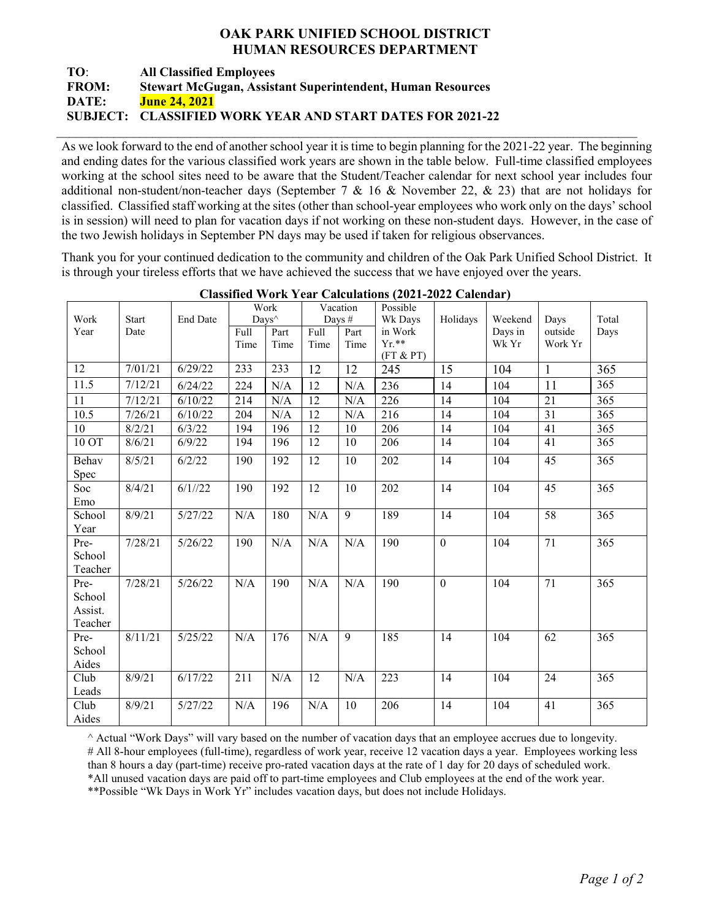## **OAK PARK UNIFIED SCHOOL DISTRICT HUMAN RESOURCES DEPARTMENT**

## **TO**: **All Classified Employees FROM: Stewart McGugan, Assistant Superintendent, Human Resources DATE: June 24, 2021 SUBJECT: CLASSIFIED WORK YEAR AND START DATES FOR 2021-22**

As we look forward to the end of another school year it is time to begin planning for the 2021-22 year. The beginning and ending dates for the various classified work years are shown in the table below. Full-time classified employees working at the school sites need to be aware that the Student/Teacher calendar for next school year includes four additional non-student/non-teacher days (September 7 & 16 & November 22, & 23) that are not holidays for classified. Classified staff working at the sites (other than school-year employees who work only on the days' school is in session) will need to plan for vacation days if not working on these non-student days. However, in the case of the two Jewish holidays in September PN days may be used if taken for religious observances.

 $\_$ 

Thank you for your continued dedication to the community and children of the Oak Park Unified School District. It is through your tireless efforts that we have achieved the success that we have enjoyed over the years.

|         |              |                 | Work |       | Vacation  |                | Possible   |                  |         |              |       |
|---------|--------------|-----------------|------|-------|-----------|----------------|------------|------------------|---------|--------------|-------|
| Work    | <b>Start</b> | <b>End Date</b> |      | Days^ |           | Days #         | Wk Days    | Holidays         | Weekend | Days         | Total |
| Year    | Date         |                 | Full | Part  | Full      | Part           | in Work    |                  | Days in | outside      | Days  |
|         |              |                 | Time | Time  | Time      | Time           | $Yr.**$    |                  | Wk Yr   | Work Yr      |       |
|         |              |                 |      |       |           |                | (FT & P T) |                  |         |              |       |
| 12      | 7/01/21      | 6/29/22         | 233  | 233   | 12        | 12             | 245        | 15               | 104     | $\mathbf{1}$ | 365   |
| 11.5    | 7/12/21      | 6/24/22         | 224  | N/A   | 12        | N/A            | 236        | 14               | 104     | 11           | 365   |
| 11      | 7/12/21      | 6/10/22         | 214  | N/A   | 12        | N/A            | 226        | 14               | 104     | 21           | 365   |
| 10.5    | 7/26/21      | 6/10/22         | 204  | N/A   | 12        | N/A            | 216        | 14               | 104     | 31           | 365   |
| 10      | 8/2/21       | 6/3/22          | 194  | 196   | 12        | 10             | 206        | 14               | 104     | 41           | 365   |
| 10 OT   | 8/6/21       | 6/9/22          | 194  | 196   | 12        | 10             | 206        | 14               | 104     | 41           | 365   |
| Behav   | 8/5/21       | 6/2/22          | 190  | 192   | 12        | 10             | 202        | 14               | 104     | 45           | 365   |
| Spec    |              |                 |      |       |           |                |            |                  |         |              |       |
| Soc     | 8/4/21       | 6/1//22         | 190  | 192   | 12        | 10             | 202        | 14               | 104     | 45           | 365   |
| Emo     |              |                 |      |       |           |                |            |                  |         |              |       |
| School  | 8/9/21       | 5/27/22         | N/A  | 180   | N/A       | 9              | 189        | 14               | 104     | 58           | 365   |
| Year    |              |                 |      |       |           |                |            |                  |         |              |       |
| Pre-    | 7/28/21      | 5/26/22         | 190  | N/A   | N/A       | N/A            | 190        | $\overline{0}$   | 104     | 71           | 365   |
| School  |              |                 |      |       |           |                |            |                  |         |              |       |
| Teacher |              |                 |      |       |           |                |            |                  |         |              |       |
| Pre-    | 7/28/21      | 5/26/22         | N/A  | 190   | N/A       | N/A            | 190        | $\boldsymbol{0}$ | 104     | 71           | 365   |
| School  |              |                 |      |       |           |                |            |                  |         |              |       |
| Assist. |              |                 |      |       |           |                |            |                  |         |              |       |
| Teacher |              |                 |      |       |           |                |            |                  |         |              |       |
| Pre-    | 8/11/21      | 5/25/22         | N/A  | 176   | $\rm N/A$ | $\overline{9}$ | 185        | 14               | 104     | 62           | 365   |
| School  |              |                 |      |       |           |                |            |                  |         |              |       |
| Aides   |              |                 |      |       |           |                |            |                  |         |              |       |
| Club    | 8/9/21       | 6/17/22         | 211  | N/A   | 12        | N/A            | 223        | 14               | 104     | 24           | 365   |
| Leads   |              |                 |      |       |           |                |            |                  |         |              |       |
| Club    | 8/9/21       | 5/27/22         | N/A  | 196   | N/A       | 10             | 206        | 14               | 104     | 41           | 365   |
| Aides   |              |                 |      |       |           |                |            |                  |         |              |       |

**Classified Work Year Calculations (2021-2022 Calendar)**

^ Actual "Work Days" will vary based on the number of vacation days that an employee accrues due to longevity. # All 8-hour employees (full-time), regardless of work year, receive 12 vacation days a year. Employees working less than 8 hours a day (part-time) receive pro-rated vacation days at the rate of 1 day for 20 days of scheduled work. \*All unused vacation days are paid off to part-time employees and Club employees at the end of the work year.

\*\*Possible "Wk Days in Work Yr" includes vacation days, but does not include Holidays.